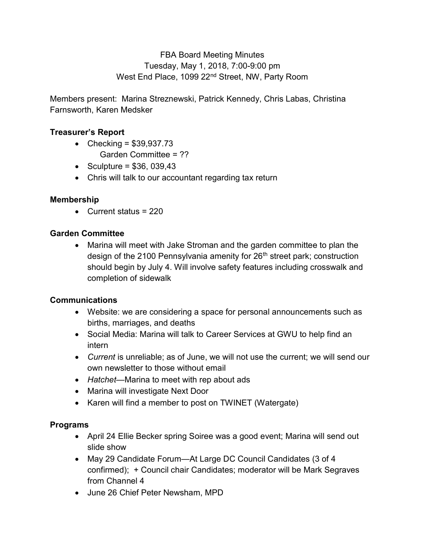# FBA Board Meeting Minutes Tuesday, May 1, 2018, 7:00-9:00 pm West End Place, 1099 22<sup>nd</sup> Street, NW, Party Room

Members present: Marina Streznewski, Patrick Kennedy, Chris Labas, Christina Farnsworth, Karen Medsker

## Treasurer's Report

- Checking =  $$39,937.73$ Garden Committee = ??
- Sculpture =  $$36, 039,43$
- Chris will talk to our accountant regarding tax return

## Membership

 $\bullet$  Current status = 220

#### Garden Committee

 Marina will meet with Jake Stroman and the garden committee to plan the design of the 2100 Pennsylvania amenity for 26<sup>th</sup> street park; construction should begin by July 4. Will involve safety features including crosswalk and completion of sidewalk

#### Communications

- Website: we are considering a space for personal announcements such as births, marriages, and deaths
- Social Media: Marina will talk to Career Services at GWU to help find an intern
- Current is unreliable; as of June, we will not use the current; we will send our own newsletter to those without email
- Hatchet—Marina to meet with rep about ads
- Marina will investigate Next Door
- Karen will find a member to post on TWINET (Watergate)

#### Programs

- April 24 Ellie Becker spring Soiree was a good event; Marina will send out slide show
- May 29 Candidate Forum—At Large DC Council Candidates (3 of 4 confirmed); + Council chair Candidates; moderator will be Mark Segraves from Channel 4
- June 26 Chief Peter Newsham, MPD